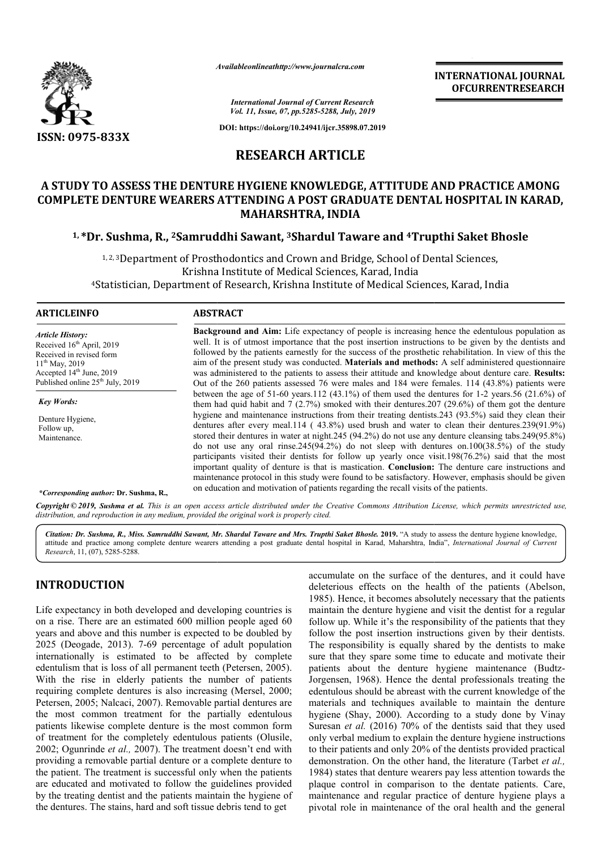

*Availableonlineathttp://www.journal Availableonlineathttp://www.journalcra.com*

**INTERNATIONAL JOURNAL OFCURRENTRESEARCH**

*International Journal of Current Research Vol. 11, Issue, 07, pp.5285-5288, July, 2019*

**DOI: https://doi.org/10.24941/ijcr.35898.07.2019**

# **RESEARCH ARTICLE**

# **A STUDY TO ASSESS THE DENTURE HYGIENE KNOWLEDGE, ATTITUDE AND PRACTICE AMONG**  A STUDY TO ASSESS THE DENTURE HYGIENE KNOWLEDGE, ATTITUDE AND PRACTICE AMONG<br>COMPLETE DENTURE WEARERS ATTENDING A POST GRADUATE DENTAL HOSPITAL IN KARAD, **MAHARSHTRA, INDIA**

## <sup>1,</sup>\*Dr. Sushma, R., <sup>2</sup>Samruddhi Sawant, <sup>3</sup>Shardul Taware and <sup>4</sup>Trupthi Saket Bhosle

<sup>1, 2, 3</sup>Department of Prosthodontics and Crown and Bridge, School of Dental Sciences, Krishna Instit Institute of Medical Sciences, Karad, India <sup>4</sup>Statistician, Department of Research, Krishna Institute of Medical Sciences, Karad, India

#### **ARTICLEINFO ABSTRACT**

*Article History:* Received 16<sup>th</sup> April, 2019 Received in revised form  $11^{th}$  May, 2019 Accepted 14<sup>th</sup> June, 2019 Published online  $25<sup>th</sup>$  July, 2019

*Key Words:*

Denture Hygiene, Follow up, **Maintenance** 

**Background and Aim:**  Life expectancy of people is increasing hence the edentulous population as well. It is of utmost importance that the post insertion instructions to be given by the dentists and followed by the patients earnestly for the success of the prosthetic rehabilitation. In view of this the aim of the present study was conducted. **Materials and methods:**  was administered to the patients to assess their attitude and knowledge about denture care. Results: Out of the 260 patients assessed 76 were males and 184 were females. 114 (43.8%) patients were Out of the 260 patients assessed 76 were males and 184 were females. 114  $(43.8%)$  patients were between the age of 51-60 years.112  $(43.1%)$  of them used the dentures for 1-2 years.56  $(21.6%)$  of them had quid habit and 7 (2.7%) smoked with their dentures.207 (29.6%) of them got the denture them had quid habit and  $7(2.7%)$  smoked with their dentures.207 (29.6%) of them got the denture hygiene and maintenance instructions from their treating dentists.243 (93.5%) said they clean their dentures after every meal.114 (43.8%) used brush and water to clean their dentures.239(91.9%) stored their dentures in water at night.245 (94.2%) do not use any denture cleansing tabs.249(95.8%) do not use any oral rinse.  $245(94.2%)$  do not sleep with dentures on.  $100(38.5%)$  of the study dentures after every meal.114 (43.8%) used brush and water to clean their dentures.239(91.9%) stored their dentures in water at night.245 (94.2%) do not use any denture cleansing tabs.249(95.8%) do not use any oral rinse.2 important quality of denture is that is mastication. **Conclusion:** The denture care instructions and maintenance protocol in this study were found to be satisfactory. However, emphasis should be given on education and motivation of patients regarding the recall visits of the patients. on education and motivation of patients regarding the recall visits of the patients. **Background and Aim:** Life expectancy of people is increasing hence the edentulous population as well. It is of utmost importance that the post insertion instructions to be given by the dentists and followed by the patient

*\*Corresponding author:* **Dr. Sushma, R.,**

Copyright © 2019, Sushma et al. This is an open access article distributed under the Creative Commons Attribution License, which permits unrestricted use, *distribution, and reproduction in any medium, provided the original work is properly cited.*

Citation: Dr. Sushma, R., Miss. Samruddhi Sawant, Mr. Shardul Taware and Mrs. Trupthi Saket Bhosle. 2019. "A study to assess the denture hygiene knowledge, Citation: Dr. Sushma, R., Miss. Samruddhi Sawant, Mr. Shardul Taware and Mrs. Trupthi Saket Bhosle. 2019. "A study to assess the denture hygiene knowledge,<br>attitude and practice among complete denture wearers attending a p *Research*, 11, (07), 5285-5288.

# **INTRODUCTION**

Life expectancy in both developed and developing countries is on a rise. There are an estimated 600 million people aged 60 years and above and this number is expected to be doubled by 2025 (Deogade, 2013). 7-69 percentage of adult population internationally is estimated to be affected by complete edentulism that is loss of all permanent teeth (Petersen, 2005). With the rise in elderly patients the number of patients requiring complete dentures is also increasing (Mersel, 2000; Petersen, 2005; Nalcaci, 2007). Removable partial dentures are the most common treatment for the partially edentulous patients likewise complete denture is the most common form of treatment for the completely edentulous patients (Olusile, 2002; Ogunrinde *et al.,* 2007). The treatment doesn't end with providing a removable partial denture or a complete denture to the patient. The treatment is successful only when the patients are educated and motivated to follow the guidelines provided by the treating dentist and the patients maintain the hygiene of the dentures. The stains, hard and soft tissue debris tend to get

accumulate on the surface of the dentures, and it could have<br>deleterious effects on the health of the patients (Abelson,<br>1985). Hence, it becomes absolutely necessary that the patients<br>act do 00 million people aged 60 foll accumulate on the surface of the dentures, and it could have deleterious effects on the health of the patients (Abelson, 1985). Hence, it becomes absolutely necessary that the patients maintain the denture hygiene and visit the dentist for a regular follow up. While it's the responsibility of the patients that they follow the post insertion instructions given by their dentists. The responsibility is equally shared by the dentists to make sure that they spare some time to educate and motivate their patients about the denture hygiene maintenance (Budtz-Jorgensen, 1968). Hence the dental professionals treating the edentulous should be abreast with the current knowledge of the materials and techniques available to maintain the denture hygiene (Shay, 2000). According to a study done by Vinay Suresan *et al.* (2016) 70% of the dentists said that they used only verbal medium to explain the denture hygiene instructions to their patients and only 20% of the dentists provided practical demonstration. On the other hand, the literature (Tarbet et al., 1984) states that denture wearers pay less attention towards the 1984) states that denture wearers pay less attention towards the plaque control in comparison to the dentate patients. Care, maintenance and regular practice of denture hygiene plays a pivotal role in maintenance of the oral health and the general 1985). Hence, it becomes absolutely necessary that the patients maintain the denture hygiene and visit the dentist for a regular follow up. While it's the responsibility of the patients that they follow the post insertion responsibility is equally shared by the dentists to make<br>that they spare some time to educate and motivate their<br>nts about the denture hygiene maintenance (Budtzous should be abreast with the current knowledge of the Is and techniques available to maintain the denture  $e$  (Shay, 2000). According to a study done by Vinay  $e$  *et al.* (2016) 70% of the dentusts said that they used r of denture hygiene role oral and general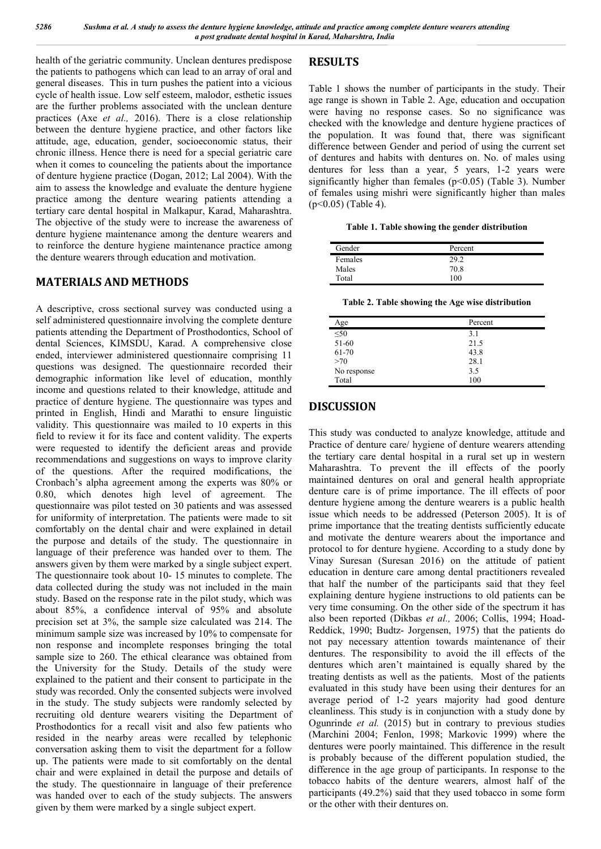health of the geriatric community. Unclean dentures predispose the patients to pathogens which can lead to an array of oral and general diseases. This in turn pushes the patient into a vicious cycle of health issue. Low self esteem, malodor, esthetic issues are the further problems associated with the unclean denture practices (Axe *et al.,* 2016). There is a close relationship between the denture hygiene practice, and other factors like attitude, age, education, gender, socioeconomic status, their chronic illness. Hence there is need for a special geriatric care when it comes to counceling the patients about the importance of denture hygiene practice (Dogan, 2012; Lal 2004). With the aim to assess the knowledge and evaluate the denture hygiene practice among the denture wearing patients attending a tertiary care dental hospital in Malkapur, Karad, Maharashtra. The objective of the study were to increase the awareness of denture hygiene maintenance among the denture wearers and to reinforce the denture hygiene maintenance practice among the denture wearers through education and motivation.

## **MATERIALS AND METHODS**

A descriptive, cross sectional survey was conducted using a self administered questionnaire involving the complete denture patients attending the Department of Prosthodontics, School of dental Sciences, KIMSDU, Karad. A comprehensive close ended, interviewer administered questionnaire comprising 11 questions was designed. The questionnaire recorded their demographic information like level of education, monthly income and questions related to their knowledge, attitude and practice of denture hygiene. The questionnaire was types and printed in English, Hindi and Marathi to ensure linguistic validity. This questionnaire was mailed to 10 experts in this field to review it for its face and content validity. The experts were requested to identify the deficient areas and provide recommendations and suggestions on ways to improve clarity of the questions. After the required modifications, the Cronbach's alpha agreement among the experts was 80% or 0.80, which denotes high level of agreement. The questionnaire was pilot tested on 30 patients and was assessed for uniformity of interpretation. The patients were made to sit comfortably on the dental chair and were explained in detail the purpose and details of the study. The questionnaire in language of their preference was handed over to them. The answers given by them were marked by a single subject expert. The questionnaire took about 10- 15 minutes to complete. The data collected during the study was not included in the main study. Based on the response rate in the pilot study, which was about 85%, a confidence interval of 95% and absolute precision set at 3%, the sample size calculated was 214. The minimum sample size was increased by 10% to compensate for non response and incomplete responses bringing the total sample size to 260. The ethical clearance was obtained from the University for the Study. Details of the study were explained to the patient and their consent to participate in the study was recorded. Only the consented subjects were involved in the study. The study subjects were randomly selected by recruiting old denture wearers visiting the Department of Prosthodontics for a recall visit and also few patients who resided in the nearby areas were recalled by telephonic conversation asking them to visit the department for a follow up. The patients were made to sit comfortably on the dental chair and were explained in detail the purpose and details of the study. The questionnaire in language of their preference was handed over to each of the study subjects. The answers given by them were marked by a single subject expert.

# **RESULTS**

Table 1 shows the number of participants in the study. Their age range is shown in Table 2. Age, education and occupation were having no response cases. So no significance was checked with the knowledge and denture hygiene practices of the population. It was found that, there was significant difference between Gender and period of using the current set of dentures and habits with dentures on. No. of males using dentures for less than a year, 5 years, 1-2 years were significantly higher than females ( $p$ <0.05) (Table 3). Number of females using mishri were significantly higher than males (p<0.05) (Table 4).

**Table 1. Table showing the gender distribution**

| Gender  | Percent       |  |
|---------|---------------|--|
| Females | 29.2          |  |
| Males   | 70.8          |  |
| Total   | $100^{\circ}$ |  |

**Table 2. Table showing the Age wise distribution**

| Age         | Percent |
|-------------|---------|
| $\leq 50$   | 3.1     |
| 51-60       | 21.5    |
| 61-70       | 43.8    |
| >70         | 28.1    |
| No response | 3.5     |
| Total       | 100     |

## **DISCUSSION**

This study was conducted to analyze knowledge, attitude and Practice of denture care/ hygiene of denture wearers attending the tertiary care dental hospital in a rural set up in western Maharashtra. To prevent the ill effects of the poorly maintained dentures on oral and general health appropriate denture care is of prime importance. The ill effects of poor denture hygiene among the denture wearers is a public health issue which needs to be addressed (Peterson 2005). It is of prime importance that the treating dentists sufficiently educate and motivate the denture wearers about the importance and protocol to for denture hygiene. According to a study done by Vinay Suresan (Suresan 2016) on the attitude of patient education in denture care among dental practitioners revealed that half the number of the participants said that they feel explaining denture hygiene instructions to old patients can be very time consuming. On the other side of the spectrum it has also been reported (Dikbas *et al.,* 2006; Collis, 1994; Hoad-Reddick, 1990; Budtz- Jorgensen, 1975) that the patients do not pay necessary attention towards maintenance of their dentures. The responsibility to avoid the ill effects of the dentures which aren't maintained is equally shared by the treating dentists as well as the patients. Most of the patients evaluated in this study have been using their dentures for an average period of 1-2 years majority had good denture cleanliness. This study is in conjunction with a study done by Ogunrinde *et al.* (2015) but in contrary to previous studies (Marchini 2004; Fenlon, 1998; Markovic 1999) where the dentures were poorly maintained. This difference in the result is probably because of the different population studied, the difference in the age group of participants. In response to the tobacco habits of the denture wearers, almost half of the participants (49.2%) said that they used tobacco in some form or the other with their dentures on.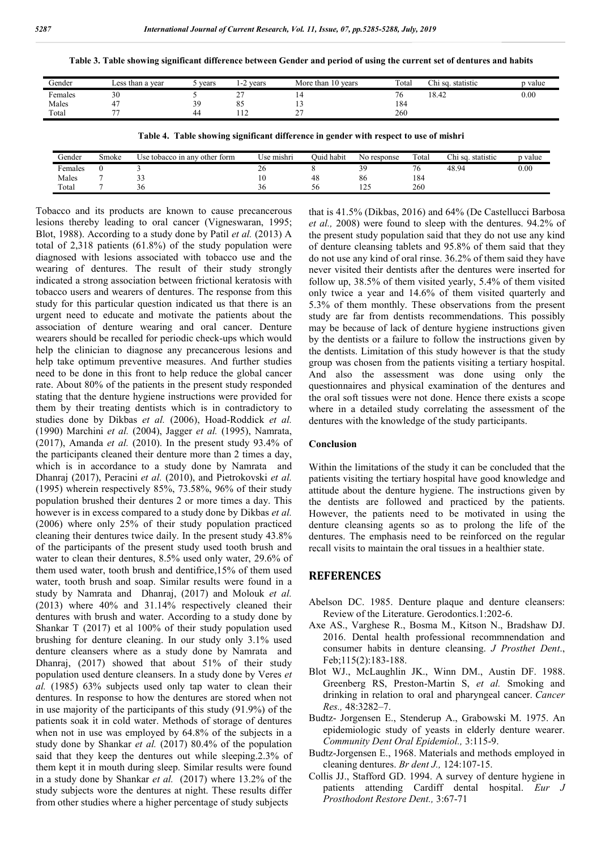**Table 3. Table showing significant difference between Gender and period of using the current set of dentures and habits**

| Gender  | Less than a vear         | vears     | vears<br>1-4               | 10 years<br>More than | Total | Chi sq. statistic | p value |
|---------|--------------------------|-----------|----------------------------|-----------------------|-------|-------------------|---------|
| Females | 30                       |           | $\sim$<br>∸                | . .                   | ືບ    | 18.42             | 0.00    |
| Males   | 47                       | 39<br>ر ر | oε<br>oυ                   |                       | 184   |                   |         |
| Total   | $\overline{\phantom{a}}$ | 44        | $\cdots$<br>$\overline{1}$ | $\sim$<br>-           | 260   |                   |         |
|         |                          |           |                            |                       |       |                   |         |

**Table 4. Table showing significant difference in gender with respect to use of mishri**

| Gender     | Smoke | other form<br>Use tobacco in anv | Use mıshrı | Ouid habit | No response                        | Total        | Chi sq.<br>. statistic | p value |
|------------|-------|----------------------------------|------------|------------|------------------------------------|--------------|------------------------|---------|
| $F$ emales |       |                                  | ∼<br>20    |            | $\gamma$ $\alpha$<br>$\mathcal{F}$ | $\sim$<br>76 | 48.94                  | 0.00    |
| Males      |       | $\sim$ $\sim$<br><u>. .</u>      | 1 U        | 48         | 86                                 | 184          |                        |         |
| Total      |       | 30                               | 20         | эt         | $\bigcap$<br>$1 - \epsilon$        | 260          |                        |         |

Tobacco and its products are known to cause precancerous lesions thereby leading to oral cancer (Vigneswaran, 1995; Blot, 1988). According to a study done by Patil *et al.* (2013) A total of 2,318 patients (61.8%) of the study population were diagnosed with lesions associated with tobacco use and the wearing of dentures. The result of their study strongly indicated a strong association between frictional keratosis with tobacco users and wearers of dentures. The response from this study for this particular question indicated us that there is an urgent need to educate and motivate the patients about the association of denture wearing and oral cancer. Denture wearers should be recalled for periodic check-ups which would help the clinician to diagnose any precancerous lesions and help take optimum preventive measures. And further studies need to be done in this front to help reduce the global cancer rate. About 80% of the patients in the present study responded stating that the denture hygiene instructions were provided for them by their treating dentists which is in contradictory to studies done by Dikbas *et al.* (2006), Hoad-Roddick *et al.*  (1990) Marchini *et al.* (2004), Jagger *et al.* (1995), Namrata, (2017), Amanda *et al.* (2010). In the present study 93.4% of the participants cleaned their denture more than 2 times a day, which is in accordance to a study done by Namrata and Dhanraj (2017), Peracini *et al.* (2010), and Pietrokovski *et al.* (1995) wherein respectively 85%, 73.58%, 96% of their study population brushed their dentures 2 or more times a day. This however is in excess compared to a study done by Dikbas *et al.*  (2006) where only 25% of their study population practiced cleaning their dentures twice daily. In the present study 43.8% of the participants of the present study used tooth brush and water to clean their dentures, 8.5% used only water, 29.6% of them used water, tooth brush and dentifrice,15% of them used water, tooth brush and soap. Similar results were found in a study by Namrata and Dhanraj, (2017) and Molouk *et al.*  (2013) where 40% and 31.14% respectively cleaned their dentures with brush and water. According to a study done by Shankar T (2017) et al 100% of their study population used brushing for denture cleaning. In our study only 3.1% used denture cleansers where as a study done by Namrata and Dhanraj, (2017) showed that about 51% of their study population used denture cleansers. In a study done by Veres *et al.* (1985) 63% subjects used only tap water to clean their dentures. In response to how the dentures are stored when not in use majority of the participants of this study (91.9%) of the patients soak it in cold water. Methods of storage of dentures when not in use was employed by 64.8% of the subjects in a study done by Shankar *et al.* (2017) 80.4% of the population said that they keep the dentures out while sleeping.2.3% of them kept it in mouth during sleep. Similar results were found in a study done by Shankar *et al.* (2017) where 13.2% of the study subjects wore the dentures at night. These results differ from other studies where a higher percentage of study subjects

that is 41.5% (Dikbas, 2016) and 64% (De Castellucci Barbosa *et al.,* 2008) were found to sleep with the dentures. 94.2% of the present study population said that they do not use any kind of denture cleansing tablets and 95.8% of them said that they do not use any kind of oral rinse. 36.2% of them said they have never visited their dentists after the dentures were inserted for follow up, 38.5% of them visited yearly, 5.4% of them visited only twice a year and 14.6% of them visited quarterly and 5.3% of them monthly. These observations from the present study are far from dentists recommendations. This possibly may be because of lack of denture hygiene instructions given by the dentists or a failure to follow the instructions given by the dentists. Limitation of this study however is that the study group was chosen from the patients visiting a tertiary hospital. And also the assessment was done using only the questionnaires and physical examination of the dentures and the oral soft tissues were not done. Hence there exists a scope where in a detailed study correlating the assessment of the dentures with the knowledge of the study participants.

#### **Conclusion**

Within the limitations of the study it can be concluded that the patients visiting the tertiary hospital have good knowledge and attitude about the denture hygiene. The instructions given by the dentists are followed and practiced by the patients. However, the patients need to be motivated in using the denture cleansing agents so as to prolong the life of the dentures. The emphasis need to be reinforced on the regular recall visits to maintain the oral tissues in a healthier state.

#### **REFERENCES**

- Abelson DC. 1985. Denture plaque and denture cleansers: Review of the Literature. Gerodontics.1:202-6.
- Axe AS., Varghese R., Bosma M., Kitson N., Bradshaw DJ. 2016. Dental health professional recommnendation and consumer habits in denture cleansing. *J Prosthet Dent*., Feb;115(2):183-188.
- Blot WJ., McLaughlin JK., Winn DM., Austin DF. 1988. Greenberg RS, Preston-Martin S, *et al.* Smoking and drinking in relation to oral and pharyngeal cancer. *Cancer Res.,* 48:3282–7.
- Budtz- Jorgensen E., Stenderup A., Grabowski M. 1975. An epidemiologic study of yeasts in elderly denture wearer. *Community Dent Oral Epidemiol.,* 3:115-9.
- Budtz-Jorgensen E., 1968. Materials and methods employed in cleaning dentures. *Br dent J.,* 124:107-15.
- Collis JJ., Stafford GD. 1994. A survey of denture hygiene in patients attending Cardiff dental hospital. *Eur J Prosthodont Restore Dent.,* 3:67-71